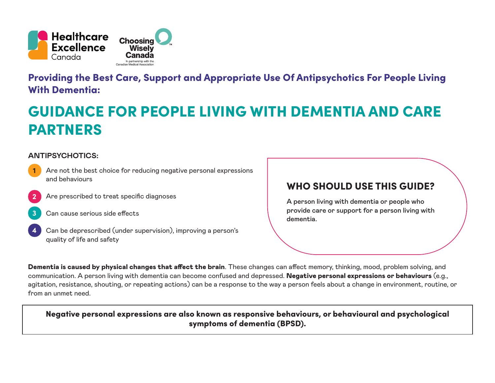

Providing the Best Care, Support and Appropriate Use Of Antipsychotics For People Living With Dementia:

# GUIDANCE FOR PEOPLE LIVING WITH DEMENTIA AND CARE PARTNERS

### **ANTIPSYCHOTICS:**

- Are not the best choice for reducing negative personal expressions and behaviours
- Are prescribed to treat specific diagnoses **2**
- Can cause serious side effects **3**
- **4**

**1**

Can be deprescribed (under supervision), improving a person's quality of life and safety

## WHO SHOULD USE THIS GUIDE?

A person living with dementia or people who provide care or support for a person living with dementia.

Dementia is caused by physical changes that affect the brain. These changes can affect memory, thinking, mood, problem solving, and communication. A person living with dementia can become confused and depressed. Negative personal expressions or behaviours (e.g., agitation, resistance, shouting, or repeating actions) can be a response to the way a person feels about a change in environment, routine, or from an unmet need.

### Negative personal expressions are also known as responsive behaviours, or behavioural and psychological symptoms of dementia (BPSD).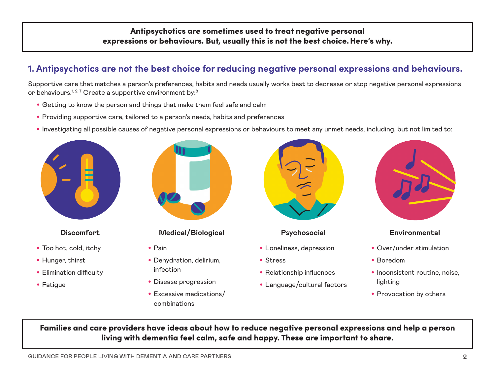## Antipsychotics are sometimes used to treat negative personal expressions or behaviours. But, usually this is not the best choice.Here's why.

## **1. Antipsychotics are not the best choice for reducing negative personal expressions and behaviours.**

Supportive care that matches a person's preferences, habits and needs usually works best to decrease or stop negative personal expressions or behaviours.<sup>1,2,7</sup> Create a supportive environment by:<sup>8</sup>

- Getting to know the person and things that make them feel safe and calm
- Providing supportive care, tailored to a person's needs, habits and preferences
- Investigating all possible causes of negative personal expressions or behaviours to meet any unmet needs, including, but not limited to:



#### **Discomfort**

- Too hot, cold, itchy
- Hunger, thirst
- Elimination difficulty
- Fatigue



- Pain
- Dehydration, delirium, infection
- Disease progression
- Excessive medications/ combinations



- Loneliness, depression
- Stress
- Relationship influences
- Language/cultural factors



#### **Environmental**

- Over/under stimulation
- Boredom
- Inconsistent routine, noise. lighting
- Provocation by others

Families and care providers have ideas about how to reduce negative personal expressions and help a person living with dementia feel calm, safe and happy. These are important to share.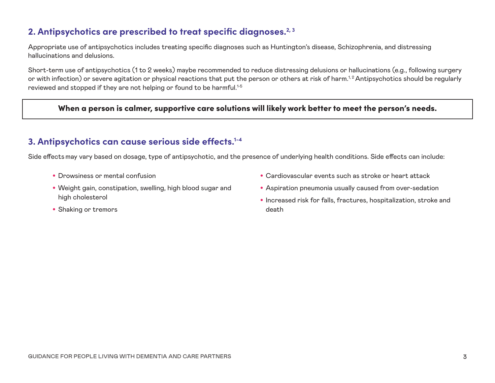## **2. Antipsychotics are prescribed to treat specific diagnoses.2, 3**

Appropriate use of antipsychotics includes treating specific diagnoses such as Huntington's disease, Schizophrenia, and distressing hallucinations and delusions.

Short-term use of antipsychotics (1 to 2 weeks) maybe recommended to reduce distressing delusions or hallucinations (e.g., following surgery or with infection) or severe agitation or physical reactions that put the person or others at risk of harm.<sup>1,2</sup> Antipsychotics should be regularly reviewed and stopped if they are not helping or found to be harmful.<sup>1-5</sup>

When a person is calmer, supportive care solutions will likely work better to meet the person's needs.

## **3. Antipsychotics can cause serious side effects.1-4**

Side effectsmay vary based on dosage, type of antipsychotic, and the presence of underlying health conditions. Side effects can include:

- Drowsiness or mental confusion
- Weight gain, constipation, swelling, high blood sugar and high cholesterol
- Shaking or tremors
- Cardiovascular events such as stroke or heart attack
- Aspiration pneumonia usually caused from over-sedation
- Increased risk for falls, fractures, hospitalization, stroke and death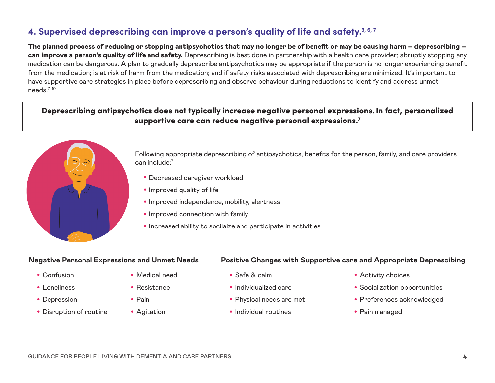## **4. Supervised deprescribing can improve a person's quality of life and safety.3, 6, 7**

The planned process of reducing or stopping antipsychotics that may no longer be of benefit or may be causing harm – deprescribing – can improve a person's quality of life and safety. Deprescribing is best done in partnership with a health care provider; abruptly stopping any medication can be dangerous. A plan to gradually deprescribe antipsychotics may be appropriate if the person is no longer experiencing benefit from the medication; is at risk of harm from the medication; and if safety risks associated with deprescribing are minimized. It's important to have supportive care strategies in place before deprescribing and observe behaviour during reductions to identify and address unmet needs.7, 10

### Deprescribing antipsychotics does not typically increase negative personal expressions.In fact, personalized supportive care can reduce negative personal expressions.<sup>7</sup>



Following appropriate deprescribing of antipsychotics, benefits for the person, family, and care providers can include:7

- Decreased caregiver workload
- Improved quality of life
- Improved independence, mobility, alertness
- Improved connection with family
- Increased ability to socilaize and participate in activities

#### **Negative Personal Expressions and Unmet Needs**

- Confusion
- Loneliness
- Depression
- Disruption of routine
- Medical need
- Resistance
- Pain
- Agitation

#### **Positive Changes with Supportive care and Appropriate Deprescibing**

- Safe & calm
- Individualized care
- Physical needs are met
- Individual routines
- Activity choices
- Socialization opportunities
- Preferences acknowledged
- Pain managed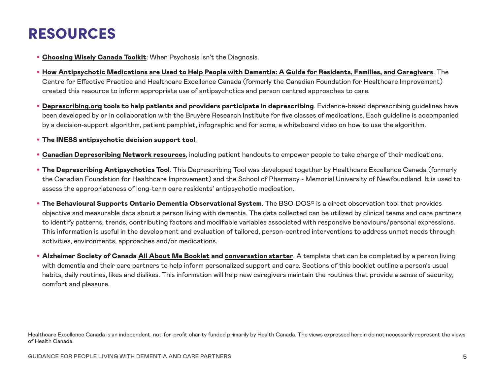## RESOURCES

- [Choosing Wisely Canada Toolkit](https://choosingwiselycanada.org/perspective/antipsychotics-toolkit/): When Psychosis Isn't the Diagnosis.
- [How Antipsychotic Medications are Used to Help People with Dementia: A Guide for Residents, Families, and Caregivers](https://www.cfhi-fcass.ca/innovations-tools-resources/item-detail/2020/05/22/how-antipsychotic-medications-are-used-to-help-people-with-dementia-a-guide-for-residents-families-and-caregivers). The Centre for Effective Practice and Healthcare Excellence Canada (formerly the Canadian Foundation for Healthcare Improvement) created this resource to inform appropriate use of antipsychotics and person centred approaches to care.
- [Deprescribing.org](https://deprescribing.org/about/) tools to help patients and providers participate in deprescribing. Evidence-based deprescribing guidelines have been developed by or in collaboration with the Bruyère Research Institute for five classes of medications. Each guideline is accompanied by a decision-support algorithm, patient pamphlet, infographic and for some, a whiteboard video on how to use the algorithm.
- [The INESS antipsychotic decision support tool](https://www.inesss.qc.ca/fileadmin/doc/INESSS/Rapports/Medicaments/Outil_Deprescription_EN.pdf).
- **[Canadian Deprescribing Network resources](https://www.deprescribingnetwork.ca/)**, including patient handouts to empower people to take charge of their medications.
- [The Deprescribing Antipsychotics Tool](https://www.cfhi-fcass.ca/innovations-tools-resources/item-detail/2020/05/22/the-antipsychotic-deprescribing-tool). This Deprescribing Tool was developed together by Healthcare Excellence Canada (formerly the Canadian Foundation for Healthcare Improvement) and the School of Pharmacy - Memorial University of Newfoundland. It is used to assess the appropriateness of long-term care residents' antipsychotic medication.
- The Behavioural Supports Ontario Dementia Observational System. The BSO-DOS® is a direct observation tool that provides objective and measurable data about a person living with dementia. The data collected can be utilized by clinical teams and care partners to identify patterns, trends, contributing factors and modifiable variables associated with responsive behaviours/personal expressions. This information is useful in the development and evaluation of tailored, person-centred interventions to address unmet needs through activities, environments, approaches and/or medications.
- Alzheimer Society of Canada [All About Me Booklet](https://alzheimer.ca/sites/default/files/documents/all-about-me_booklet.pdf) and [conversation starter](https://alzheimer.ca/sites/default/files/documents/all_about_me_a_conversation_starter_e.pdf). A template that can be completed by a person living with dementia and their care partners to help inform personalized support and care. Sections of this booklet outline a person's usual habits, daily routines, likes and dislikes. This information will help new caregivers maintain the routines that provide a sense of security, comfort and pleasure.

Healthcare Excellence Canada is an independent, not-for-profit charity funded primarily by Health Canada. The views expressed herein do not necessarily represent the views of Health Canada.